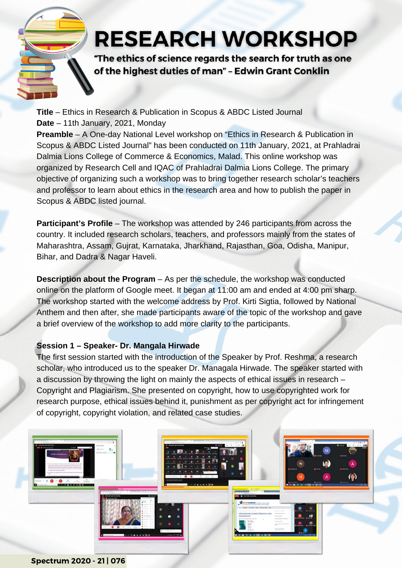## **RESEARCH WORKSHOP**

"The ethics of science regards the search for truth as one of the highest duties of man" - Edwin Grant Conklin

**Title** – Ethics in Research & Publication in Scopus & ABDC Listed Journal **Date** – 11th January, 2021, Monday

**Preamble** – A One-day National Level workshop on "Ethics in Research & Publication in Scopus & ABDC Listed Journal" has been conducted on 11th January, 2021, at Prahladrai Dalmia Lions College of Commerce & Economics, Malad. This online workshop was organized by Research Cell and IQAC of Prahladrai Dalmia Lions College. The primary objective of organizing such a workshop was to bring together research scholar's teachers and professor to learn about ethics in the research area and how to publish the paper in Scopus & ABDC listed journal.

**Participant's Profile** – The workshop was attended by 246 participants from across the country. It included research scholars, teachers, and professors mainly from the states of Maharashtra, Assam, Gujrat, Karnataka, Jharkhand, Rajasthan, Goa, Odisha, Manipur, Bihar, and Dadra & Nagar Haveli.

**Description about the Program** – As per the schedule, the workshop was conducted online on the platform of Google meet. It began at 11:00 am and ended at 4:00 pm sharp. The workshop started with the welcome address by Prof. Kirti Sigtia, followed by National Anthem and then after, she made participants aware of the topic of the workshop and gave a brief overview of the workshop to add more clarity to the participants.

## **Session 1 – Speaker- Dr. Mangala Hirwade**

The first session started with the introduction of the Speaker by Prof. Reshma, a research scholar, who introduced us to the speaker Dr. Managala Hirwade. The speaker started with a discussion by throwing the light on mainly the aspects of ethical issues in research – Copyright and Plagiarism. She presented on copyright, how to use copyrighted work for research purpose, ethical issues behind it, punishment as per copyright act for infringement of copyright, copyright violation, and related case studies.



Spectrum 2020 - 21 | 076